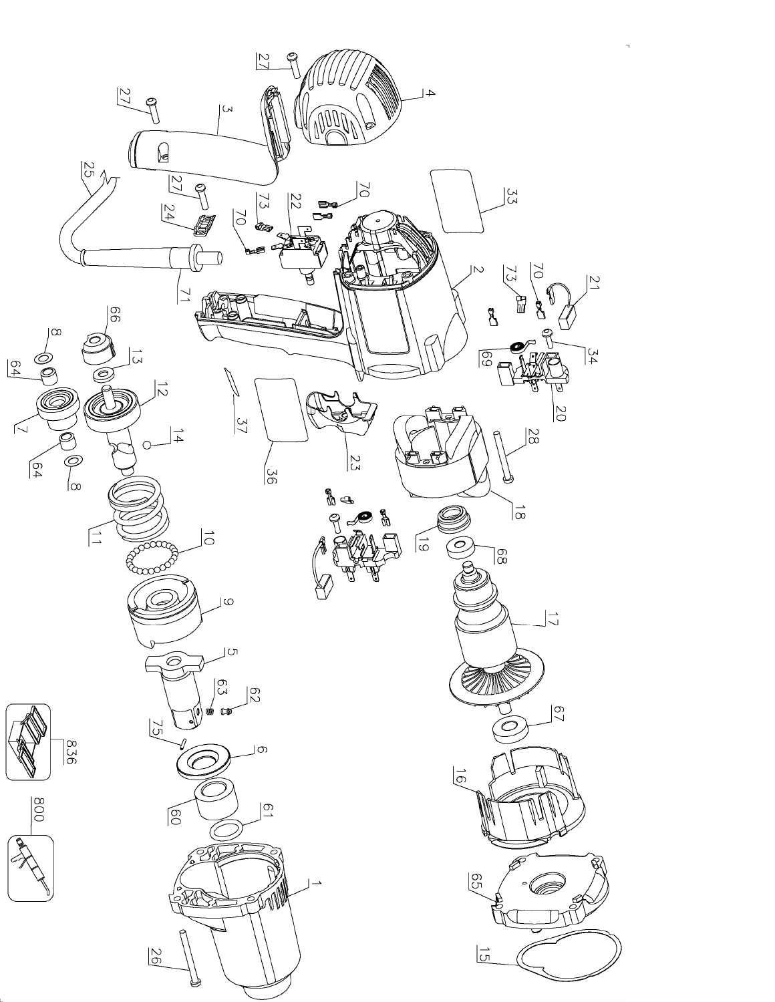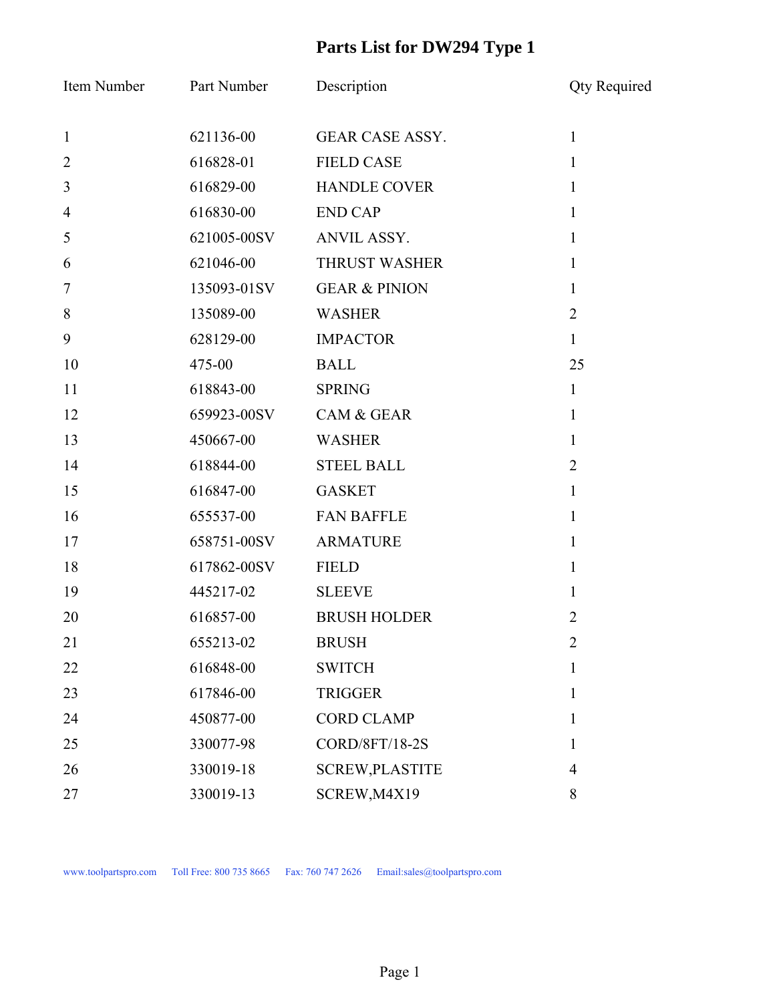## **Parts List for DW294 Type 1**

| Item Number      | Part Number | Description              | <b>Qty Required</b> |
|------------------|-------------|--------------------------|---------------------|
| $\mathbf{1}$     | 621136-00   | <b>GEAR CASE ASSY.</b>   | $\mathbf{1}$        |
| $\overline{2}$   | 616828-01   | <b>FIELD CASE</b>        | $\mathbf{1}$        |
| $\mathfrak{Z}$   | 616829-00   | <b>HANDLE COVER</b>      | $\mathbf{1}$        |
| $\overline{4}$   | 616830-00   | <b>END CAP</b>           | $\mathbf{1}$        |
| 5                | 621005-00SV | ANVIL ASSY.              | $\mathbf{1}$        |
| 6                | 621046-00   | <b>THRUST WASHER</b>     | $\mathbf{1}$        |
| $\boldsymbol{7}$ | 135093-01SV | <b>GEAR &amp; PINION</b> | $\mathbf{1}$        |
| 8                | 135089-00   | <b>WASHER</b>            | $\overline{2}$      |
| 9                | 628129-00   | <b>IMPACTOR</b>          | $\mathbf{1}$        |
| 10               | 475-00      | <b>BALL</b>              | 25                  |
| 11               | 618843-00   | <b>SPRING</b>            | $\mathbf{1}$        |
| 12               | 659923-00SV | <b>CAM &amp; GEAR</b>    | $\mathbf{1}$        |
| 13               | 450667-00   | <b>WASHER</b>            | $\mathbf{1}$        |
| 14               | 618844-00   | <b>STEEL BALL</b>        | $\overline{2}$      |
| 15               | 616847-00   | <b>GASKET</b>            | $\mathbf{1}$        |
| 16               | 655537-00   | <b>FAN BAFFLE</b>        | $\mathbf{1}$        |
| 17               | 658751-00SV | <b>ARMATURE</b>          | $\mathbf{1}$        |
| 18               | 617862-00SV | <b>FIELD</b>             | $\mathbf{1}$        |
| 19               | 445217-02   | <b>SLEEVE</b>            | $\mathbf{1}$        |
| 20               | 616857-00   | <b>BRUSH HOLDER</b>      | $\overline{2}$      |
| 21               | 655213-02   | <b>BRUSH</b>             | $\overline{2}$      |
| 22               | 616848-00   | <b>SWITCH</b>            | $\mathbf{1}$        |
| 23               | 617846-00   | <b>TRIGGER</b>           | 1                   |
| 24               | 450877-00   | <b>CORD CLAMP</b>        | 1                   |
| 25               | 330077-98   | <b>CORD/8FT/18-2S</b>    | $\mathbf{1}$        |
| 26               | 330019-18   | <b>SCREW, PLASTITE</b>   | $\overline{4}$      |
| 27               | 330019-13   | SCREW, M4X19             | 8                   |

www.toolpartspro.com Toll Free: 800 735 8665 Fax: 760 747 2626 Email:sales@toolpartspro.com